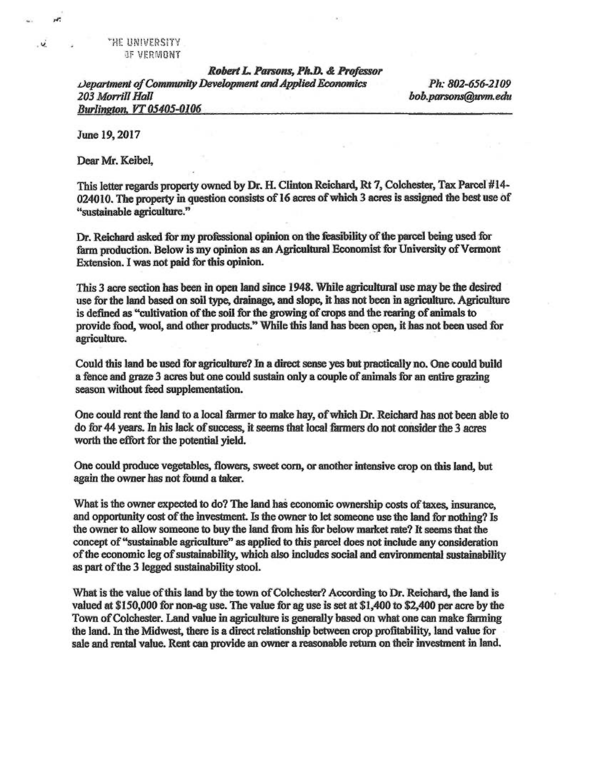"HE UNIVERSITY IF VERMONT

*Robert L. Parsons, Ph.D. & Professor Department of Community Development and Applied Economics Ph: 802-656-2109 Burlington, 17 05405-0106* 

*203 Morrill Hall bob.parsons@avm.edu* 

**June 19,2017** 

**re** 

 $\overrightarrow{u}$ 

**Dear Mr. Keibel,** 

**This letter regards property owned by Dr. FL Clinton Reichard, Rt 7, Colchester, Tax Parcel #14- 024010. The property in question consists of 16 acres of which 3 acres is assigned the best use of "sustainable agriculture."** 

**Dr. Reichard asked for my professional opinion on the feasibility of the parcel being used for farm production. Below is my opinion as an Agricultural Economist for University of Vermont Extension. I was not paid for this opinion.** 

**This 3 acre section has been in open land since 1948. While agricultural use may be the desired**  use for the land based on soil type, drainage, and slope, it has not been in agriculture. Agriculture **is defined as "cultivation of the soil for the growing of crops and the rearing of animals to provide food, wool, and other products." While this land has been open, it has not been used for agriculture.** 

**Could this land be used for agriculture? In a direct sense yes but practically no. One could build a fence and graze 3 acres but one could sustain only a couple of animals for an entire grazing season without feed supplementation.** 

**One could rent the land to a local farmer to make hay, of which Dr. Reichard has not been able to do for 44** *years.* **In his lack of success, it seems that local farmers do not consider the 3 acres worth the effort for the potential yield.** 

**One could produce vegetables, flowers, sweet corn, or another intensive crop on this land, but again the owner has not found a taker.** 

**What is the owner expected to do? The land has economic ownership costs of taxes, insurance, and opportunity cost of the investment. Is the owner to let someone use the land for nothing? Is the owner to allow someone to buy the land from his for below market rate? It seems that the concept of "sustainable agriculture" as applied to this parcel does not include any consideration of the economic leg of sustainability, which also includes social and environmental sustainability as part of the 3 legged sustainability stool.** 

**What is the value of this land by the town of Colchester? According to Dr. Reichard, the land is valued at \$150,000 for non-ag use. The value for ag use is set at \$1,400 to \$2,400 per acre by the Town of Colchester. Land value in agriculture is generally based on what one can make fanning the land. In the Midwest, there is a direct relationship between crop profitability, land value for sale and rental value. Rent can provide an owner a reasonable return on their investment in land.**